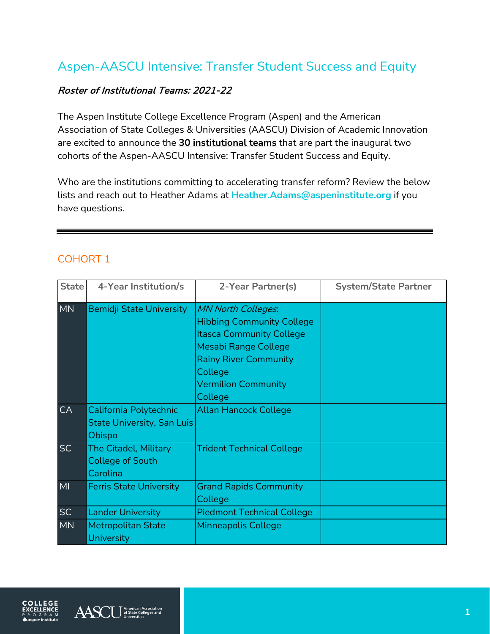## Aspen-AASCU Intensive: Transfer Student Success and Equity

## Roster of Institutional Teams: 2021-22

The Aspen Institute College Excellence Program (Aspen) and the American Association of State Colleges & Universities (AASCU) Division of Academic Innovation are excited to announce the **30 institutional teams** that are part the inaugural two cohorts of the Aspen-AASCU Intensive: Transfer Student Success and Equity.

Who are the institutions committing to accelerating transfer reform? Review the below lists and reach out to Heather Adams at **[Heather.Adams@aspeninstitute.org](mailto:Heather.Adams@aspeninstitute.org)** if you have questions.

## COHORT 1

| <b>State</b> | 4-Year Institution/s                                                | 2-Year Partner(s)                                                                                                                                                                                                   | <b>System/State Partner</b> |
|--------------|---------------------------------------------------------------------|---------------------------------------------------------------------------------------------------------------------------------------------------------------------------------------------------------------------|-----------------------------|
| <b>MN</b>    | <b>Bemidji State University</b>                                     | <b>MN North Colleges.</b><br><b>Hibbing Community College</b><br><b>Itasca Community College</b><br><b>Mesabi Range College</b><br><b>Rainy River Community</b><br>College<br><b>Vermilion Community</b><br>College |                             |
| <b>CA</b>    | California Polytechnic<br>State University, San Luis<br>Obispo      | <b>Allan Hancock College</b>                                                                                                                                                                                        |                             |
| <b>SC</b>    | <b>The Citadel, Military</b><br><b>College of South</b><br>Carolina | <b>Trident Technical College</b>                                                                                                                                                                                    |                             |
| MI           | <b>Ferris State University</b>                                      | <b>Grand Rapids Community</b><br>College                                                                                                                                                                            |                             |
| <b>SC</b>    | <b>Lander University</b>                                            | <b>Piedmont Technical College</b>                                                                                                                                                                                   |                             |
| <b>MN</b>    | <b>Metropolitan State</b><br>University                             | <b>Minneapolis College</b>                                                                                                                                                                                          |                             |



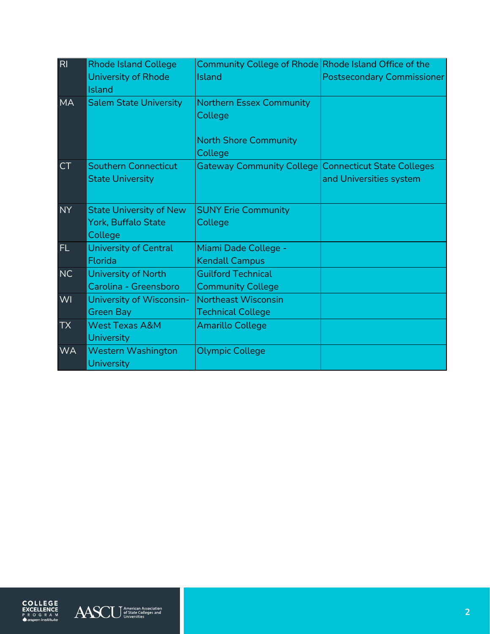| RI        | <b>Rhode Island College</b><br>University of Rhode<br><b>Island</b> | Community College of Rhode Rhode Island Office of the<br>Island | <b>Postsecondary Commissioner</b> |
|-----------|---------------------------------------------------------------------|-----------------------------------------------------------------|-----------------------------------|
| <b>MA</b> | <b>Salem State University</b>                                       | Northern Essex Community<br>College                             |                                   |
|           |                                                                     | <b>North Shore Community</b><br>College                         |                                   |
| <b>CT</b> | <b>Southern Connecticut</b><br><b>State University</b>              | Gateway Community College Connecticut State Colleges            | and Universities system           |
| <b>NY</b> | <b>State University of New</b><br>York, Buffalo State<br>College    | <b>SUNY Erie Community</b><br>College                           |                                   |
| FL.       | <b>University of Central</b><br>Florida                             | Miami Dade College -<br><b>Kendall Campus</b>                   |                                   |
| <b>NC</b> | University of North<br>Carolina - Greensboro                        | <b>Guilford Technical</b><br><b>Community College</b>           |                                   |
| WI        | University of Wisconsin-<br><b>Green Bay</b>                        | <b>Northeast Wisconsin</b><br><b>Technical College</b>          |                                   |
| <b>TX</b> | <b>West Texas A&amp;M</b><br><b>University</b>                      | <b>Amarillo College</b>                                         |                                   |
| <b>WA</b> | <b>Western Washington</b><br>University                             | <b>Olympic College</b>                                          |                                   |